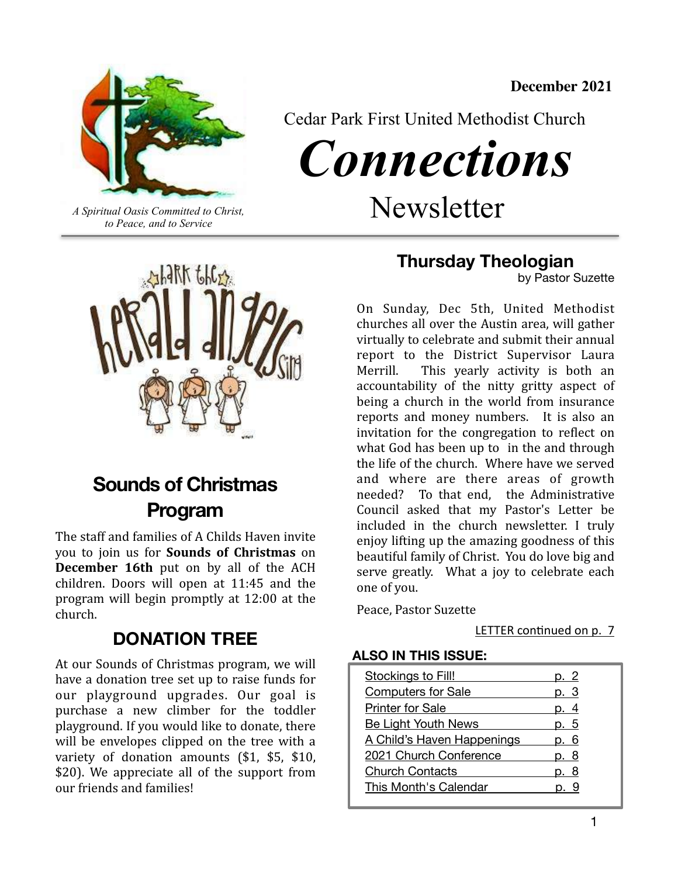**December 2021** 



Cedar Park First United Methodist Church

*Connections* 

*A Spiritual Oasis Committed to Christ,*  $Newsletter$ 

*to Peace, and to Service*



# **Sounds of Christmas Program**

The staff and families of A Childs Haven invite you to join us for **Sounds** of Christmas on **December 16th** put on by all of the ACH children. Doors will open at 11:45 and the program will begin promptly at 12:00 at the church.

## **DONATION TREE**

At our Sounds of Christmas program, we will have a donation tree set up to raise funds for our playground upgrades. Our goal is purchase a new climber for the toddler playground. If you would like to donate, there will be envelopes clipped on the tree with a variety of donation amounts (\$1, \$5, \$10, \$20). We appreciate all of the support from our friends and families!

**Thursday Theologian** 

by Pastor Suzette

On Sunday, Dec 5th, United Methodist churches all over the Austin area, will gather virtually to celebrate and submit their annual report to the District Supervisor Laura Merrill. This yearly activity is both an accountability of the nitty gritty aspect of being a church in the world from insurance reports and money numbers. It is also an invitation for the congregation to reflect on what  $God$  has been up to in the and through the life of the church. Where have we served and where are there areas of growth needed? To that end, the Administrative Council asked that my Pastor's Letter be included in the church newsletter. I truly enjoy lifting up the amazing goodness of this beautiful family of Christ. You do love big and serve greatly. What a joy to celebrate each one of you.

Peace, Pastor Suzette

LETTER continued on p. 7

## **ALSO IN THIS ISSUE:**

| Stockings to Fill!         |     |
|----------------------------|-----|
| <b>Computers for Sale</b>  |     |
| <b>Printer for Sale</b>    |     |
| <b>Be Light Youth News</b> | -5  |
| A Child's Haven Happenings | - 6 |
| 2021 Church Conference     | -8  |
| <b>Church Contacts</b>     |     |
| This Month's Calendar      |     |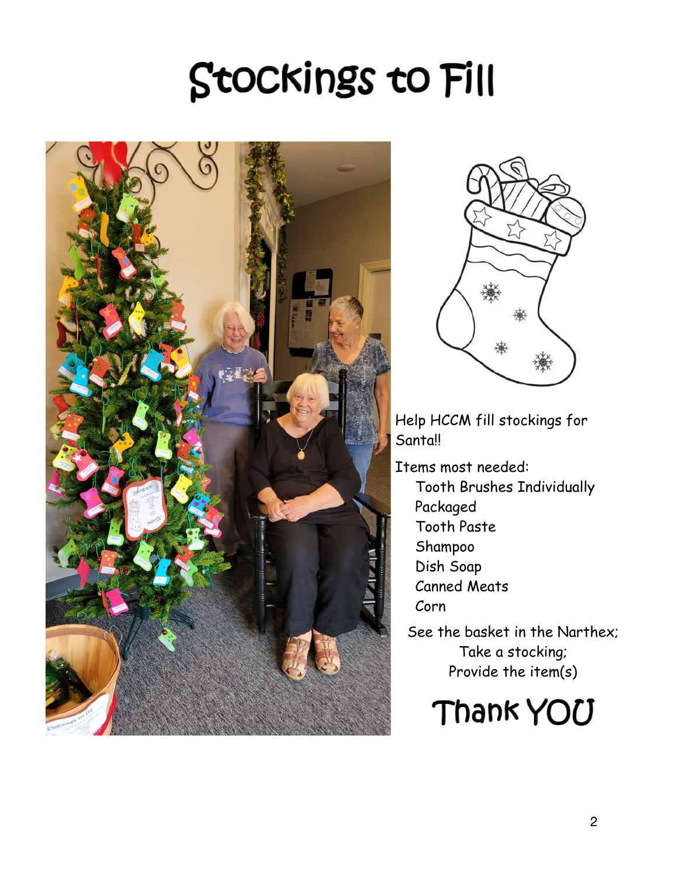# <span id="page-1-0"></span>Stockings to Fill





Help HCCM fill stockings for Santa!!

Items most needed:

Tooth Brushes Individually Packaged Tooth Paste Shampoo Dish Soap Canned Meats Corn

See the basket in the Narthex; Take a stocking; Provide the item(s)

Thank YOU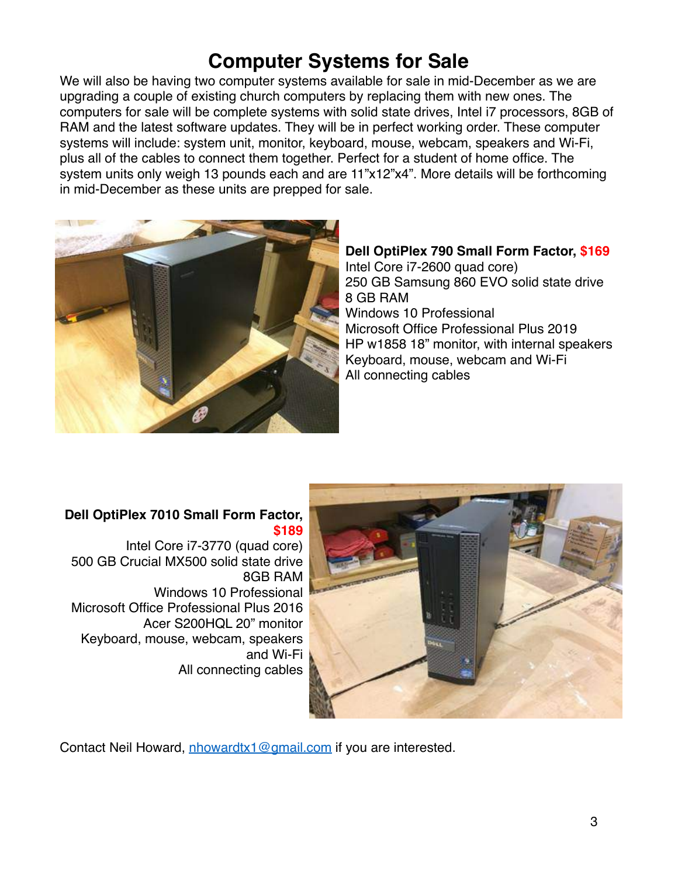# <span id="page-2-0"></span>**Computer Systems for Sale**

We will also be having two computer systems available for sale in mid-December as we are upgrading a couple of existing church computers by replacing them with new ones. The computers for sale will be complete systems with solid state drives, Intel i7 processors, 8GB of RAM and the latest software updates. They will be in perfect working order. These computer systems will include: system unit, monitor, keyboard, mouse, webcam, speakers and Wi-Fi, plus all of the cables to connect them together. Perfect for a student of home office. The system units only weigh 13 pounds each and are 11"x12"x4". More details will be forthcoming in mid-December as these units are prepped for sale.



**Dell OptiPlex 790 Small Form Factor, \$169** Intel Core i7-2600 quad core) 250 GB Samsung 860 EVO solid state drive 8 GB RAM Windows 10 Professional Microsoft Office Professional Plus 2019 HP w1858 18" monitor, with internal speakers Keyboard, mouse, webcam and Wi-Fi All connecting cables

## **Dell OptiPlex 7010 Small Form Factor, \$189**

Intel Core i7-3770 (quad core) 500 GB Crucial MX500 solid state drive 8GB RAM Windows 10 Professional Microsoft Office Professional Plus 2016 Acer S200HQL 20" monitor Keyboard, mouse, webcam, speakers and Wi-Fi All connecting cables



Contact Neil Howard, [nhowardtx1@gmail.com](mailto:nhowardtx1@gmail.com) if you are interested.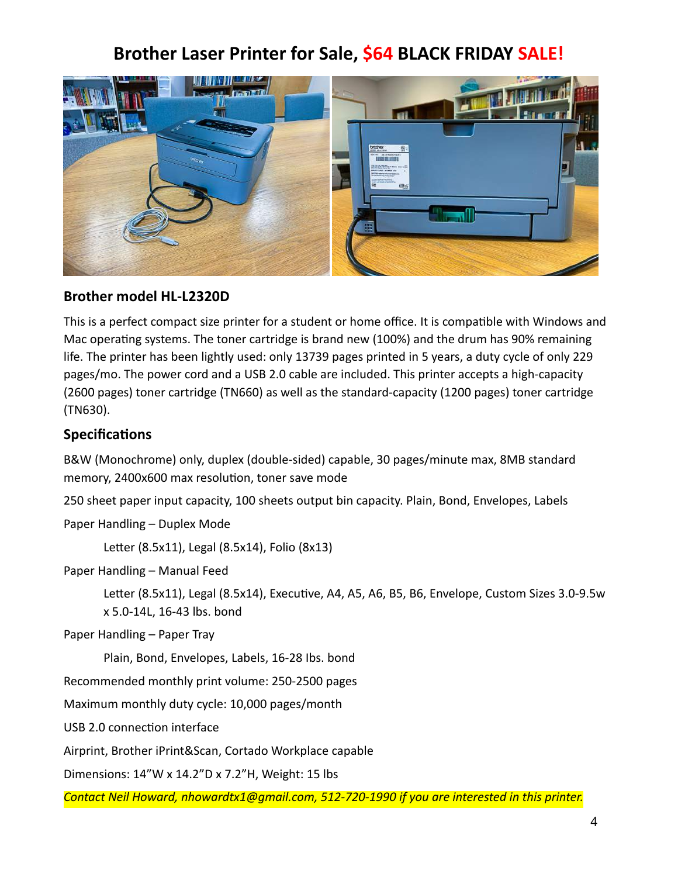# <span id="page-3-0"></span>**Brother Laser Printer for Sale, \$64 BLACK FRIDAY SALE!**



## **Brother model HL-L2320D**

This is a perfect compact size printer for a student or home office. It is compatible with Windows and Mac operating systems. The toner cartridge is brand new (100%) and the drum has 90% remaining life. The printer has been lightly used: only 13739 pages printed in 5 years, a duty cycle of only 229 pages/mo. The power cord and a USB 2.0 cable are included. This printer accepts a high-capacity (2600 pages) toner cartridge (TN660) as well as the standard-capacity (1200 pages) toner cartridge (TN630).

## **Specifications**

B&W (Monochrome) only, duplex (double-sided) capable, 30 pages/minute max, 8MB standard memory, 2400x600 max resolution, toner save mode

250 sheet paper input capacity, 100 sheets output bin capacity. Plain, Bond, Envelopes, Labels

Paper Handling – Duplex Mode

Letter (8.5x11), Legal (8.5x14), Folio (8x13)

Paper Handling – Manual Feed

Letter (8.5x11), Legal (8.5x14), Executive, A4, A5, A6, B5, B6, Envelope, Custom Sizes 3.0-9.5w x 5.0-14L, 16-43 lbs. bond

Paper Handling – Paper Tray

Plain, Bond, Envelopes, Labels, 16-28 Ibs. bond

Recommended monthly print volume: 250-2500 pages

Maximum monthly duty cycle: 10,000 pages/month

USB 2.0 connection interface

Airprint, Brother iPrint&Scan, Cortado Workplace capable

Dimensions: 14"W x 14.2"D x 7.2"H, Weight: 15 lbs

*Contact Neil Howard, nhowardtx1@gmail.com, 512-720-1990 if you are interested in this printer.*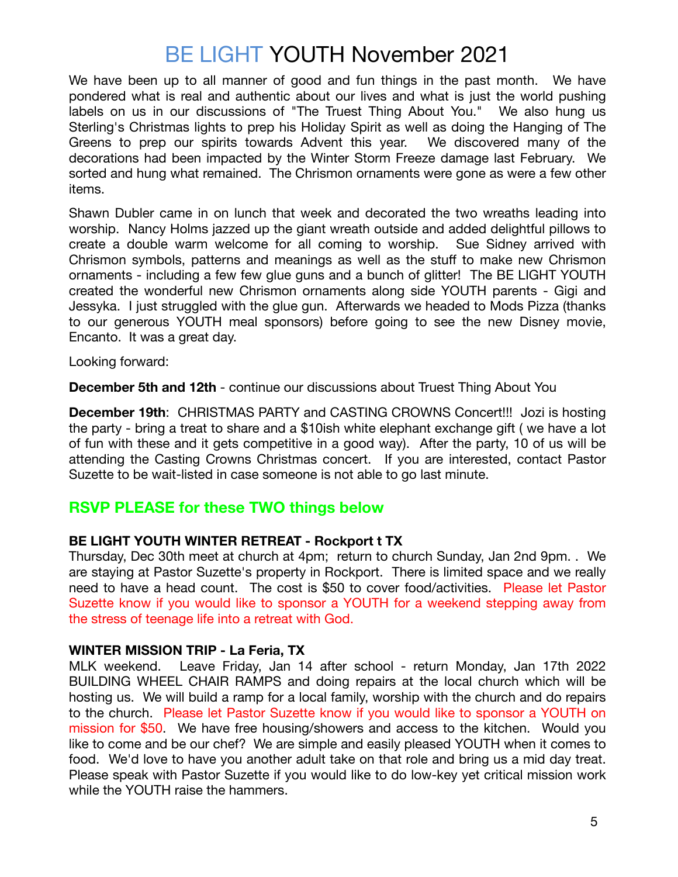# <span id="page-4-0"></span>BE LIGHT YOUTH November 2021

We have been up to all manner of good and fun things in the past month. We have pondered what is real and authentic about our lives and what is just the world pushing labels on us in our discussions of "The Truest Thing About You." We also hung us Sterling's Christmas lights to prep his Holiday Spirit as well as doing the Hanging of The Greens to prep our spirits towards Advent this year. We discovered many of the decorations had been impacted by the Winter Storm Freeze damage last February. We sorted and hung what remained. The Chrismon ornaments were gone as were a few other items.

Shawn Dubler came in on lunch that week and decorated the two wreaths leading into worship. Nancy Holms jazzed up the giant wreath outside and added delightful pillows to create a double warm welcome for all coming to worship. Sue Sidney arrived with Chrismon symbols, patterns and meanings as well as the stuff to make new Chrismon ornaments - including a few few glue guns and a bunch of glitter! The BE LIGHT YOUTH created the wonderful new Chrismon ornaments along side YOUTH parents - Gigi and Jessyka. I just struggled with the glue gun. Afterwards we headed to Mods Pizza (thanks to our generous YOUTH meal sponsors) before going to see the new Disney movie, Encanto. It was a great day.

Looking forward:

**December 5th and 12th** - continue our discussions about Truest Thing About You

**December 19th**: CHRISTMAS PARTY and CASTING CROWNS Concert!!! Jozi is hosting the party - bring a treat to share and a \$10ish white elephant exchange gift ( we have a lot of fun with these and it gets competitive in a good way). After the party, 10 of us will be attending the Casting Crowns Christmas concert. If you are interested, contact Pastor Suzette to be wait-listed in case someone is not able to go last minute.

## **RSVP PLEASE for these TWO things below**

## **BE LIGHT YOUTH WINTER RETREAT - Rockport t TX**

Thursday, Dec 30th meet at church at 4pm; return to church Sunday, Jan 2nd 9pm. . We are staying at Pastor Suzette's property in Rockport. There is limited space and we really need to have a head count. The cost is \$50 to cover food/activities. Please let Pastor Suzette know if you would like to sponsor a YOUTH for a weekend stepping away from the stress of teenage life into a retreat with God.

## **WINTER MISSION TRIP - La Feria, TX**

MLK weekend. Leave Friday, Jan 14 after school - return Monday, Jan 17th 2022 BUILDING WHEEL CHAIR RAMPS and doing repairs at the local church which will be hosting us. We will build a ramp for a local family, worship with the church and do repairs to the church. Please let Pastor Suzette know if you would like to sponsor a YOUTH on mission for \$50. We have free housing/showers and access to the kitchen. Would you like to come and be our chef? We are simple and easily pleased YOUTH when it comes to food. We'd love to have you another adult take on that role and bring us a mid day treat. Please speak with Pastor Suzette if you would like to do low-key yet critical mission work while the YOUTH raise the hammers.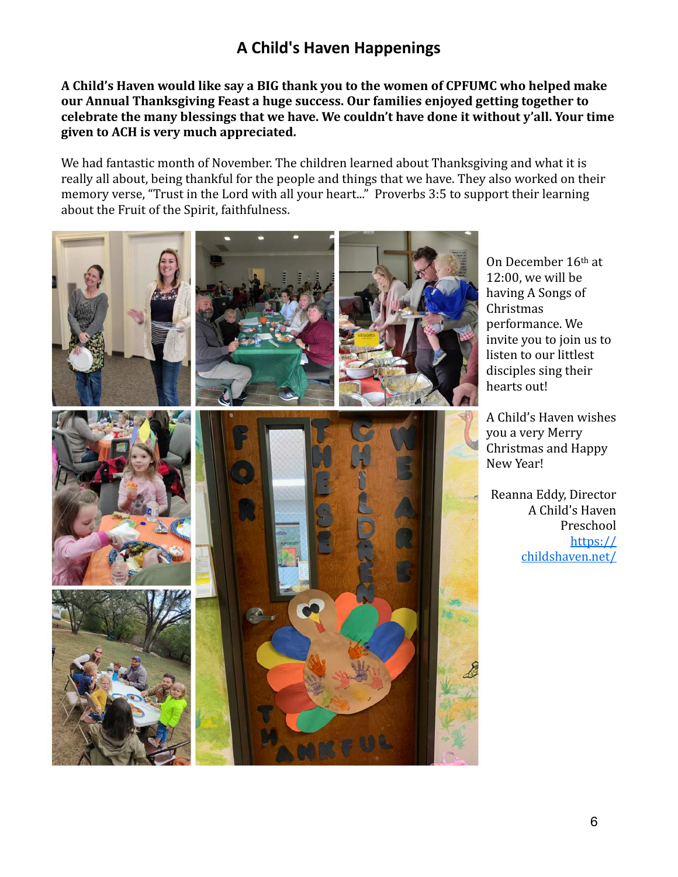## <span id="page-5-0"></span>**A Child's Haven Happenings**

A Child's Haven would like say a BIG thank you to the women of CPFUMC who helped make our Annual Thanksgiving Feast a huge success. Our families enjoyed getting together to celebrate the many blessings that we have. We couldn't have done it without y'all. Your time given to ACH is very much appreciated.

We had fantastic month of November. The children learned about Thanksgiving and what it is really all about, being thankful for the people and things that we have. They also worked on their memory verse, "Trust in the Lord with all your heart..." Proverbs 3:5 to support their learning about the Fruit of the Spirit, faithfulness.

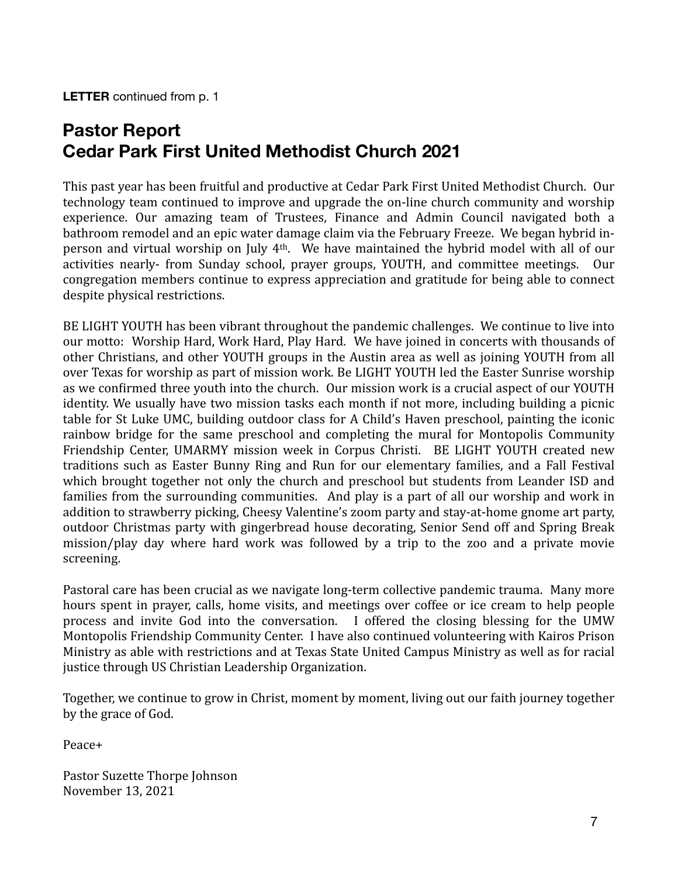<span id="page-6-0"></span>**LETTER** continued from p. 1

# **Pastor Report Cedar Park First United Methodist Church 2021**

This past year has been fruitful and productive at Cedar Park First United Methodist Church. Our technology team continued to improve and upgrade the on-line church community and worship experience. Our amazing team of Trustees, Finance and Admin Council navigated both a bathroom remodel and an epic water damage claim via the February Freeze. We began hybrid inperson and virtual worship on July 4<sup>th</sup>. We have maintained the hybrid model with all of our activities nearly- from Sunday school, prayer groups, YOUTH, and committee meetings. Our congregation members continue to express appreciation and gratitude for being able to connect despite physical restrictions.

BE LIGHT YOUTH has been vibrant throughout the pandemic challenges. We continue to live into our motto: Worship Hard, Work Hard, Play Hard. We have joined in concerts with thousands of other Christians, and other YOUTH groups in the Austin area as well as joining YOUTH from all over Texas for worship as part of mission work. Be LIGHT YOUTH led the Easter Sunrise worship as we confirmed three youth into the church. Our mission work is a crucial aspect of our YOUTH identity. We usually have two mission tasks each month if not more, including building a picnic table for St Luke UMC, building outdoor class for A Child's Haven preschool, painting the iconic rainbow bridge for the same preschool and completing the mural for Montopolis Community Friendship Center, UMARMY mission week in Corpus Christi. BE LIGHT YOUTH created new traditions such as Easter Bunny Ring and Run for our elementary families, and a Fall Festival which brought together not only the church and preschool but students from Leander ISD and families from the surrounding communities. And play is a part of all our worship and work in addition to strawberry picking, Cheesy Valentine's zoom party and stay-at-home gnome art party, outdoor Christmas party with gingerbread house decorating, Senior Send off and Spring Break mission/play day where hard work was followed by a trip to the zoo and a private movie screening. 

Pastoral care has been crucial as we navigate long-term collective pandemic trauma. Many more hours spent in prayer, calls, home visits, and meetings over coffee or ice cream to help people process and invite God into the conversation. I offered the closing blessing for the UMW Montopolis Friendship Community Center. I have also continued volunteering with Kairos Prison Ministry as able with restrictions and at Texas State United Campus Ministry as well as for racial justice through US Christian Leadership Organization.

Together, we continue to grow in Christ, moment by moment, living out our faith journey together by the grace of God.

Peace+ 

Pastor Suzette Thorpe Johnson November 13, 2021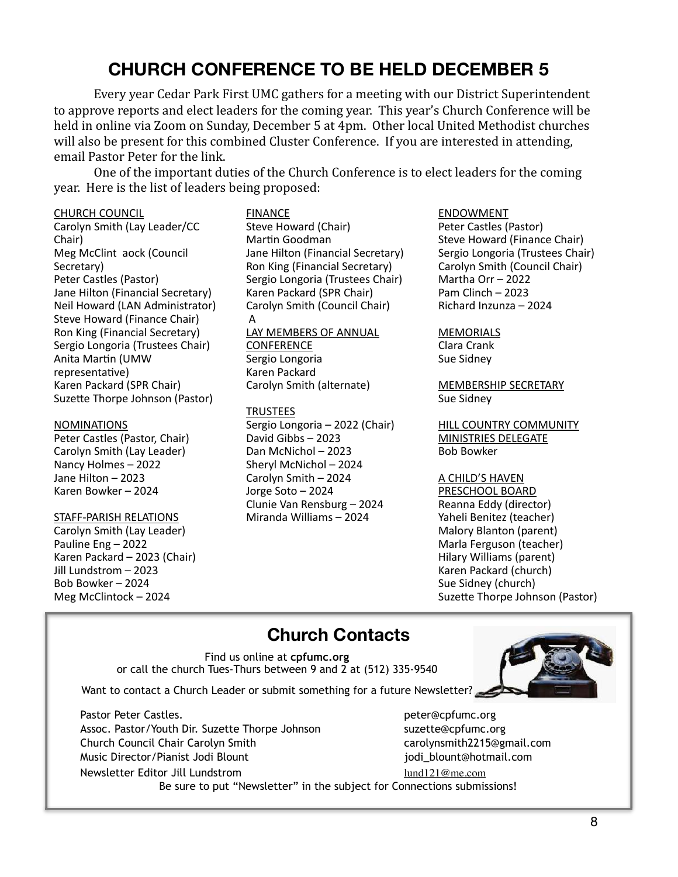# <span id="page-7-0"></span>**CHURCH CONFERENCE TO BE HELD DECEMBER 5**

Every year Cedar Park First UMC gathers for a meeting with our District Superintendent to approve reports and elect leaders for the coming year. This year's Church Conference will be held in online via Zoom on Sunday, December 5 at 4pm. Other local United Methodist churches will also be present for this combined Cluster Conference. If you are interested in attending, email Pastor Peter for the link.

One of the important duties of the Church Conference is to elect leaders for the coming year. Here is the list of leaders being proposed:

#### CHURCH COUNCIL

Carolyn Smith (Lay Leader/CC Chair) Meg McClint aock (Council Secretary) Peter Castles (Pastor) Jane Hilton (Financial Secretary) Neil Howard (LAN Administrator) Steve Howard (Finance Chair) Ron King (Financial Secretary) Sergio Longoria (Trustees Chair) Anita Martin (UMW representative) Karen Packard (SPR Chair) Suzette Thorpe Johnson (Pastor)

#### NOMINATIONS

Peter Castles (Pastor, Chair) Carolyn Smith (Lay Leader) Nancy Holmes – 2022 Jane Hilton – 2023 Karen Bowker – 2024

## STAFF-PARISH RELATIONS

Carolyn Smith (Lay Leader) Pauline Eng – 2022 Karen Packard – 2023 (Chair) Jill Lundstrom – 2023 Bob Bowker – 2024 Meg McClintock – 2024

FINANCE Steve Howard (Chair) Martin Goodman Jane Hilton (Financial Secretary) Ron King (Financial Secretary) Sergio Longoria (Trustees Chair) Karen Packard (SPR Chair) Carolyn Smith (Council Chair) A LAY MEMBERS OF ANNUAL **CONFERENCE** 

Sergio Longoria Karen Packard Carolyn Smith (alternate)

## TRUSTEES

Sergio Longoria – 2022 (Chair) David Gibbs – 2023 Dan McNichol – 2023 Sheryl McNichol – 2024 Carolyn Smith – 2024 Jorge Soto – 2024 Clunie Van Rensburg – 2024 Miranda Williams – 2024

## ENDOWMENT

Peter Castles (Pastor) Steve Howard (Finance Chair) Sergio Longoria (Trustees Chair) Carolyn Smith (Council Chair) Martha Orr – 2022 Pam Clinch – 2023 Richard Inzunza – 2024

#### MEMORIALS Clara Crank Sue Sidney

MEMBERSHIP SECRETARY Sue Sidney

HILL COUNTRY COMMUNITY MINISTRIES DELEGATE Bob Bowker

## A CHILD'S HAVEN

PRESCHOOL BOARD Reanna Eddy (director) Yaheli Benitez (teacher) Malory Blanton (parent) Marla Ferguson (teacher) Hilary Williams (parent) Karen Packard (church) Sue Sidney (church) Suzette Thorpe Johnson (Pastor)

# **Church Contacts**

Find us online at **cpfumc.org** or call the church Tues-Thurs between 9 and 2 at (512) 335-9540

Want to contact a Church Leader or submit something for a future Newsletter?

Pastor Peter Castles. peter@cpfumc.org Assoc. Pastor/Youth Dir. Suzette Thorpe Johnson suzette@cpfumc.org Church Council Chair Carolyn Smith carolynsmith2215@gmail.com Music Director/Pianist Jodi Blount discussed in the settlement of production in the settlement of the settlement of the settlement of the settlement of the settlement of the settlement of the settlement of the settlement o Newsletter Editor Jill Lundstrom [lund121@me.com](mailto:lund121@me.com)

Be sure to put "Newsletter" in the subject for Connections submissions!